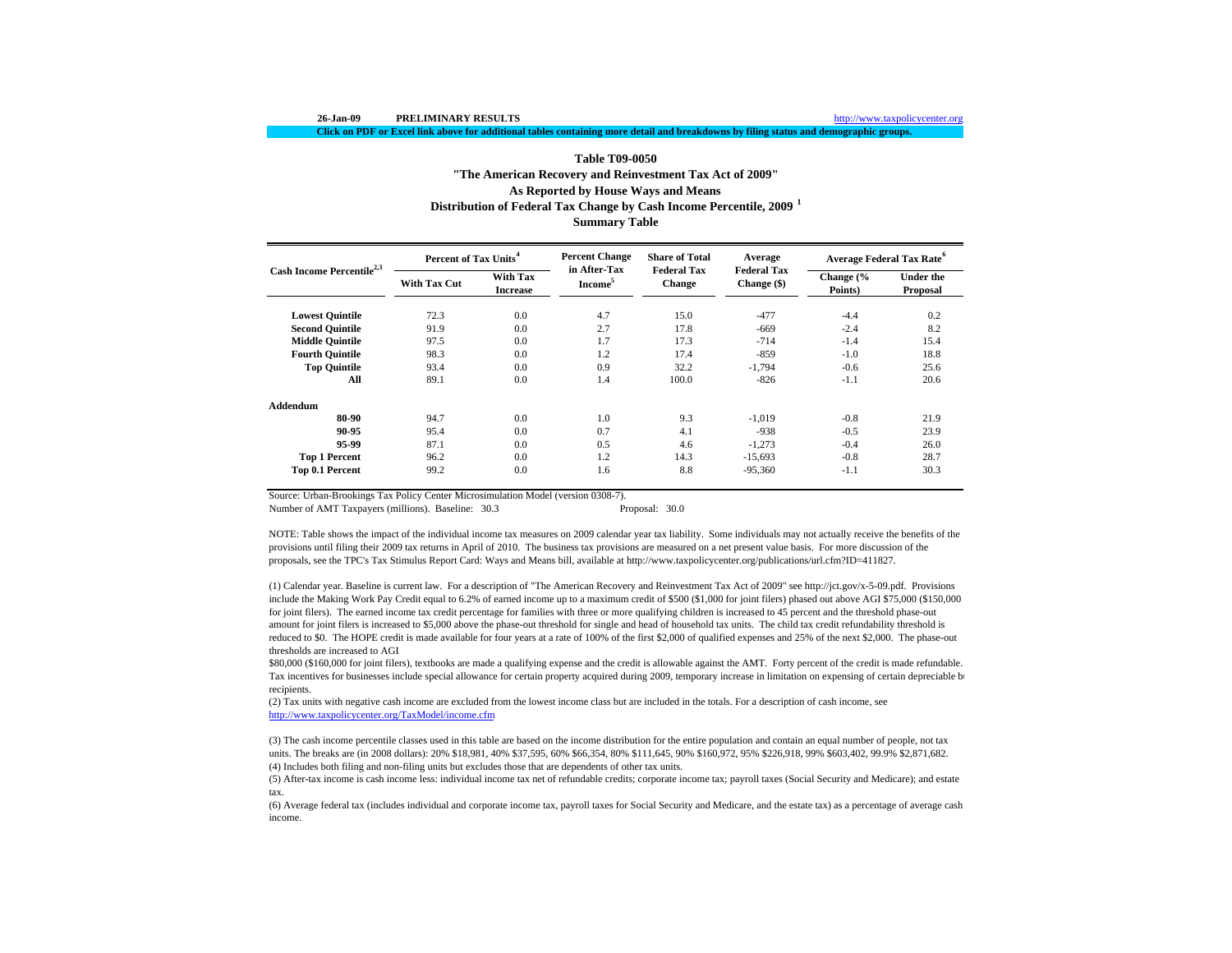**Click on PDF or Excel link above for additional tables containing more detail and breakdowns by filing status and demographic groups.**

http://www.taxpolicycenter.org

# **Table T09-0050"The American Recovery and Reinvestment Tax Act of 2009" Summary Table As Reported by House Ways and Means Distribution of Federal Tax Change by Cash Income Percentile, 2009 <sup>1</sup>**

|                                       | Percent of Tax Units <sup>4</sup> |                                    | <b>Percent Change</b>               | <b>Share of Total</b>        | Average                             | Average Federal Tax Rate <sup>6</sup> |                              |  |
|---------------------------------------|-----------------------------------|------------------------------------|-------------------------------------|------------------------------|-------------------------------------|---------------------------------------|------------------------------|--|
| Cash Income Percentile <sup>2,3</sup> | <b>With Tax Cut</b>               | <b>With Tax</b><br><b>Increase</b> | in After-Tax<br>Income <sup>5</sup> | <b>Federal Tax</b><br>Change | <b>Federal Tax</b><br>Change $(\$)$ | Change (%<br>Points)                  | <b>Under the</b><br>Proposal |  |
| <b>Lowest Quintile</b>                | 72.3                              | 0.0                                | 4.7                                 | 15.0                         | $-477$                              | $-4.4$                                | 0.2                          |  |
| <b>Second Quintile</b>                | 91.9                              | 0.0                                | 2.7                                 | 17.8                         | $-669$                              | $-2.4$                                | 8.2                          |  |
| <b>Middle Quintile</b>                | 97.5                              | 0.0                                | 1.7                                 | 17.3                         | $-714$                              | $-1.4$                                | 15.4                         |  |
| <b>Fourth Quintile</b>                | 98.3                              | 0.0                                | 1.2                                 | 17.4                         | $-859$                              | $-1.0$                                | 18.8                         |  |
| <b>Top Quintile</b>                   | 93.4                              | 0.0                                | 0.9                                 | 32.2                         | $-1,794$                            | $-0.6$                                | 25.6                         |  |
| All                                   | 89.1                              | 0.0                                | 1.4                                 | 100.0                        | $-826$                              | $-1.1$                                | 20.6                         |  |
| Addendum                              |                                   |                                    |                                     |                              |                                     |                                       |                              |  |
| 80-90                                 | 94.7                              | 0.0                                | 1.0                                 | 9.3                          | $-1.019$                            | $-0.8$                                | 21.9                         |  |
| 90-95                                 | 95.4                              | 0.0                                | 0.7                                 | 4.1                          | $-938$                              | $-0.5$                                | 23.9                         |  |
| 95.99                                 | 87.1                              | 0.0                                | 0.5                                 | 4.6                          | $-1.273$                            | $-0.4$                                | 26.0                         |  |
| <b>Top 1 Percent</b>                  | 96.2                              | 0.0                                | 1.2                                 | 14.3                         | $-15,693$                           | $-0.8$                                | 28.7                         |  |
| Top 0.1 Percent                       | 99.2                              | 0.0                                | 1.6                                 | 8.8                          | $-95,360$                           | $-1.1$                                | 30.3                         |  |

Source: Urban-Brookings Tax Policy Center Microsimulation Model (version 0308-7).

Number of AMT Taxpayers (millions). Baseline: 30.3 Proposal: 30.0

NOTE: Table shows the impact of the individual income tax measures on 2009 calendar year tax liability. Some individuals may not actually receive the benefits of the provisions until filing their 2009 tax returns in April of 2010. The business tax provisions are measured on a net present value basis. For more discussion of the proposals, see the TPC's Tax Stimulus Report Card: Ways and Means bill, available at http://www.taxpolicycenter.org/publications/url.cfm?ID=411827.

(1) Calendar year. Baseline is current law. For a description of "The American Recovery and Reinvestment Tax Act of 2009" see http://jct.gov/x-5-09.pdf. Provisions include the Making Work Pay Credit equal to 6.2% of earned income up to a maximum credit of \$500 (\$1,000 for joint filers) phased out above AGI \$75,000 (\$150,000 for joint filers). The earned income tax credit percentage for families with three or more qualifying children is increased to 45 percent and the threshold phase-out amount for joint filers is increased to \$5,000 above the phase-out threshold for single and head of household tax units. The child tax credit refundability threshold is reduced to \$0. The HOPE credit is made available for four years at a rate of 100% of the first \$2,000 of qualified expenses and 25% of the next \$2,000. The phase-out thresholds are increased to AGI

\$80,000 (\$160,000 for joint filers), textbooks are made a qualifying expense and the credit is allowable against the AMT. Forty percent of the credit is made refundable. Tax incentives for businesses include special allowance for certain property acquired during 2009, temporary increase in limitation on expensing of certain depreciable b recipients.

(2) Tax units with negative cash income are excluded from the lowest income class but are included in the totals. For a description of cash income, see http://www.taxpolicycenter.org/TaxModel/income.cfm

(4) Includes both filing and non-filing units but excludes those that are dependents of other tax units. (3) The cash income percentile classes used in this table are based on the income distribution for the entire population and contain an equal number of people, not tax units. The breaks are (in 2008 dollars): 20% \$18,981, 40% \$37,595, 60% \$66,354, 80% \$111,645, 90% \$160,972, 95% \$226,918, 99% \$603,402, 99.9% \$2,871,682.

(5) After-tax income is cash income less: individual income tax net of refundable credits; corporate income tax; payroll taxes (Social Security and Medicare); and estate tax.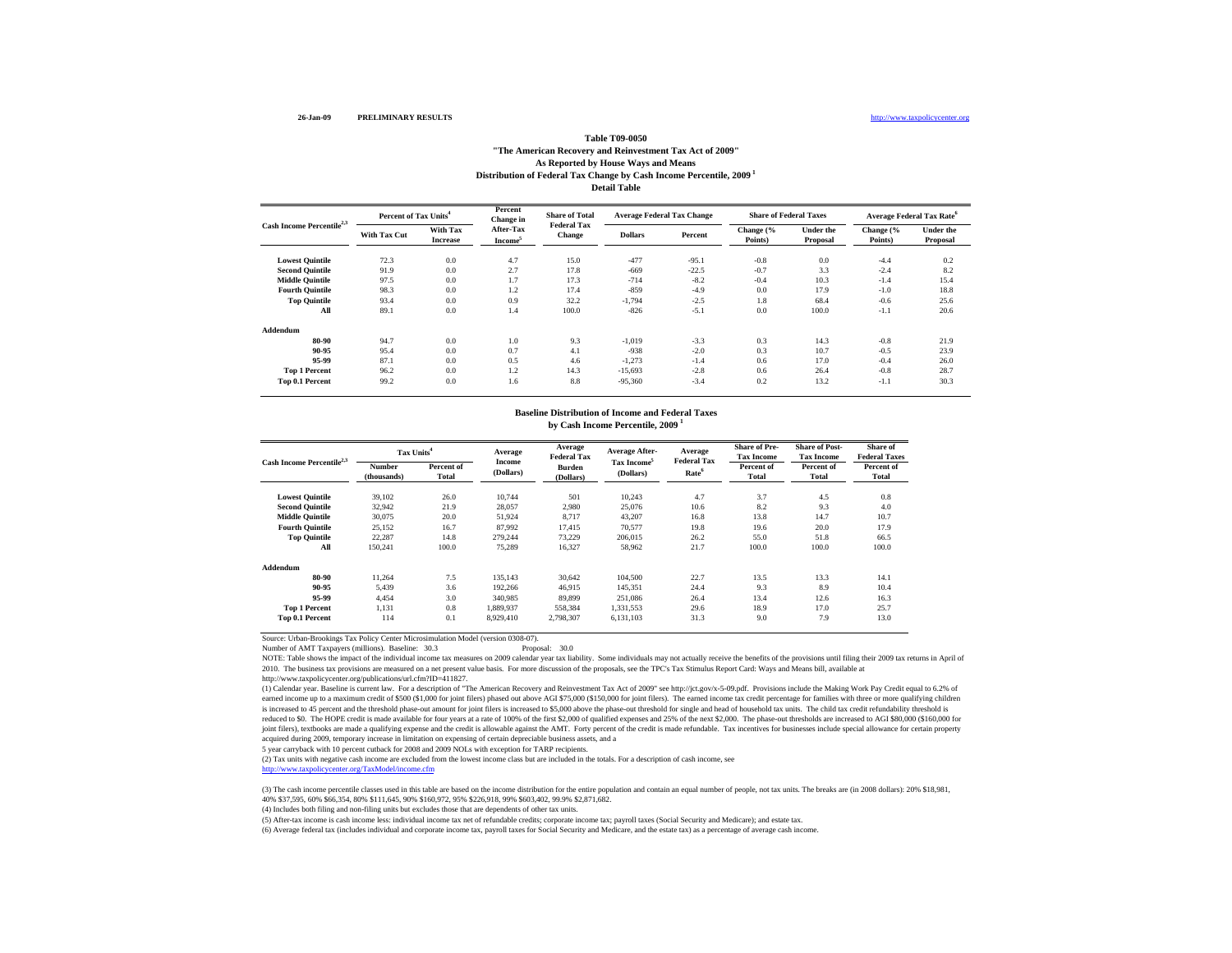#### **S** and the state of the state of the state of the state of the state of the state of the state of the state of the state of the state of the state of the state of the state of the state of the state of the state of the st

### **Table T09-0050"The American Recovery and Reinvestment Tax Act of 2009" As Reported by House Ways and Means Distribution of Federal Tax Change by Cash Income Percentile, 2009 1 Detail Table**

**Lowest Quintile** 72.3 0.0 4.7 15.0 -477 -95.1 -0.8 0.0 -4.4 0.2 **Second Quintile** 91.9 0.0 2.7 17.8 -669 -22.5 -0.7 3.3 -2.4 8.2 **Middle Quintile** 97.5 0.0 1.7 17.3 -714 -8.2 -0.4 10.3 -1.4 15.4 **Fourth Quintile** 98.3 0.0 1.2 17.4 -859 -4.9 0.0 17.9 -1.0 18.8 **Top Quintile** 93.4 0.0 0.9 32.2 -1,794 -2.5 1.8 68.4 -0.6 25.6 **All** 89.1 0.0 1.4 100.0 -826 -5.1 0.0 100.0 -1.1 20.6**Addendum80-90** 94.7 0.0 1.0 9.3 -1,019 -3.3 0.3 14.3 -0.8 21.9 **90-955**  $95.4$  0.0 0.7 4.1 -938 -2.0 0.3 10.7 -0.5 23.9 **95-99** 87.1 0.0 0.5 4.6 -1,273 -1.4 0.6 17.0 -0.4 26.0 **Top 1 Percent** 96.2 0.0 1.2 14.3 -15,693 -2.8 0.6 26.4 -0.8 28.7 **Top 0.1 Percent** 99.2 0.0 1.6 8.8 -95,360 -3.4 0.2 13.2 -1.1 30.3 **Under the Proposal Cash Income Percentile2,3 Percent of Tax Units<sup>4</sup> Share of Total Federal Tax Change Average Federal Tax Change Share of Federal Taxes Change (% Points) Under the Proposal Dollars Percent Change (% Points) Average Federal Tax Rate<sup>6</sup> With Tax Cut With Tax IncreasePercent Change in After-Tax Income5**

### **by Cash Income Percentile, 2009 <sup>1</sup> Baseline Distribution of Income and Federal Taxes**

| Cash Income Percentile <sup>2,3</sup> | Tax Units <sup>4</sup> |                     | Average             | Average<br><b>Federal Tax</b> | <b>Average After-</b>                | Average<br><b>Federal Tax</b> | <b>Share of Pre-</b><br><b>Tax Income</b> | <b>Share of Post-</b><br><b>Tax Income</b> | Share of<br><b>Federal Taxes</b> |
|---------------------------------------|------------------------|---------------------|---------------------|-------------------------------|--------------------------------------|-------------------------------|-------------------------------------------|--------------------------------------------|----------------------------------|
|                                       | Number<br>(thousands)  | Percent of<br>Total | Income<br>(Dollars) | <b>Burden</b><br>(Dollars)    | Tax Income <sup>5</sup><br>(Dollars) | Rate <sup>6</sup>             | Percent of<br><b>Total</b>                | Percent of<br>Total                        | Percent of<br>Total              |
| <b>Lowest Ouintile</b>                | 39.102                 | 26.0                | 10.744              | 501                           | 10,243                               | 4.7                           | 3.7                                       | 4.5                                        | 0.8                              |
| <b>Second Ouintile</b>                | 32.942                 | 21.9                | 28,057              | 2,980                         | 25,076                               | 10.6                          | 8.2                                       | 9.3                                        | 4.0                              |
| <b>Middle Quintile</b>                | 30.075                 | 20.0                | 51,924              | 8.717                         | 43,207                               | 16.8                          | 13.8                                      | 14.7                                       | 10.7                             |
| <b>Fourth Ouintile</b>                | 25,152                 | 16.7                | 87.992              | 17.415                        | 70,577                               | 19.8                          | 19.6                                      | 20.0                                       | 17.9                             |
| <b>Top Quintile</b>                   | 22,287                 | 14.8                | 279.244             | 73,229                        | 206,015                              | 26.2                          | 55.0                                      | 51.8                                       | 66.5                             |
| All                                   | 150,241                | 100.0               | 75,289              | 16,327                        | 58,962                               | 21.7                          | 100.0                                     | 100.0                                      | 100.0                            |
| Addendum                              |                        |                     |                     |                               |                                      |                               |                                           |                                            |                                  |
| 80-90                                 | 11.264                 | 7.5                 | 135.143             | 30,642                        | 104,500                              | 22.7                          | 13.5                                      | 13.3                                       | 14.1                             |
| 90-95                                 | 5,439                  | 3.6                 | 192,266             | 46,915                        | 145,351                              | 24.4                          | 9.3                                       | 8.9                                        | 10.4                             |
| 95-99                                 | 4,454                  | 3.0                 | 340,985             | 89,899                        | 251,086                              | 26.4                          | 13.4                                      | 12.6                                       | 16.3                             |
| <b>Top 1 Percent</b>                  | 1,131                  | 0.8                 | 1,889,937           | 558,384                       | 1,331,553                            | 29.6                          | 18.9                                      | 17.0                                       | 25.7                             |
| Top 0.1 Percent                       | 114                    | 0.1                 | 8,929,410           | 2.798.307                     | 6,131,103                            | 31.3                          | 9.0                                       | 7.9                                        | 13.0                             |

Source: Urban-Brookings Tax Policy Center Microsimulation Model (version 0308-07).

Number of AMT Taxpayers (millions). Baseline: 30.3 Proposal: 30.0

NOTE: Table shows the impact of the individual income tax measures on 2009 calendar year tax liability. Some individuals may not actually receive the benefits of the provisions until filing their 2009 tax returns in April 2010. The business tax provisions are measured on a net present value basis. For more discussion of the proposals, see the TPC's Tax Stimulus Report Card: Ways and Means bill, available at

http://www.taxpolicycenter.org/publications/url.cfm?ID=411827.

(1) Calendar year. Baseline is current law. For a description of "The American Recovery and Reinvestment Tax Act of 2009" see http://jct.gov/x-5-09.pdf. Provisions include the Making Work Pay Credit equal to 6.2% of earned income up to a maximum credit of \$500 (\$1,000 for joint filers) phased out above AGI \$75,000 (\$150,000 for joint filers). The earned income tax credit percentage for families with three or more qualifying children is increased to 45 percent and the threshold phase-out amount for joint filers is increased to \$5,000 above the phase-out threshold for single and head of household tax units. The child tax credit refundability threshold is reduced to \$0. The HOPE credit is made available for four years at a rate of 100% of the first \$2,000 of qualified expenses and 25% of the next \$2,000. The phase-out thresholds are increased to AGI \$80,000 (\$160,000 for joint filers), textbooks are made a qualifying expense and the credit is allowable against the AMT. Forty percent of the credit is made refundable. Tax incentives for businesses include special allowance for certain proper acquired during 2009, temporary increase in limitation on expensing of certain depreciable business assets, and a

5 year carryback with 10 percent cutback for 2008 and 2009 NOLs with exception for TARP recipients.

(2) Tax units with negative cash income are excluded from the lowest income class but are included in the totals. For a description of cash income, see

http://www.taxpolicycenter.org/TaxModel/income.cfm

(3) The cash income percentile classes used in this table are based on the income distribution for the entire population and contain an equal number of people, not tax units. The breaks are (in 2008 dollars): 20% \$18,981, 40% \$37,595, 60% \$66,354, 80% \$111,645, 90% \$160,972, 95% \$226,918, 99% \$603,402, 99.9% \$2,871,682.

(4) Includes both filing and non-filing units but excludes those that are dependents of other tax units.

(5) After-tax income is cash income less: individual income tax net of refundable credits; corporate income tax; payroll taxes (Social Security and Medicare); and estate tax.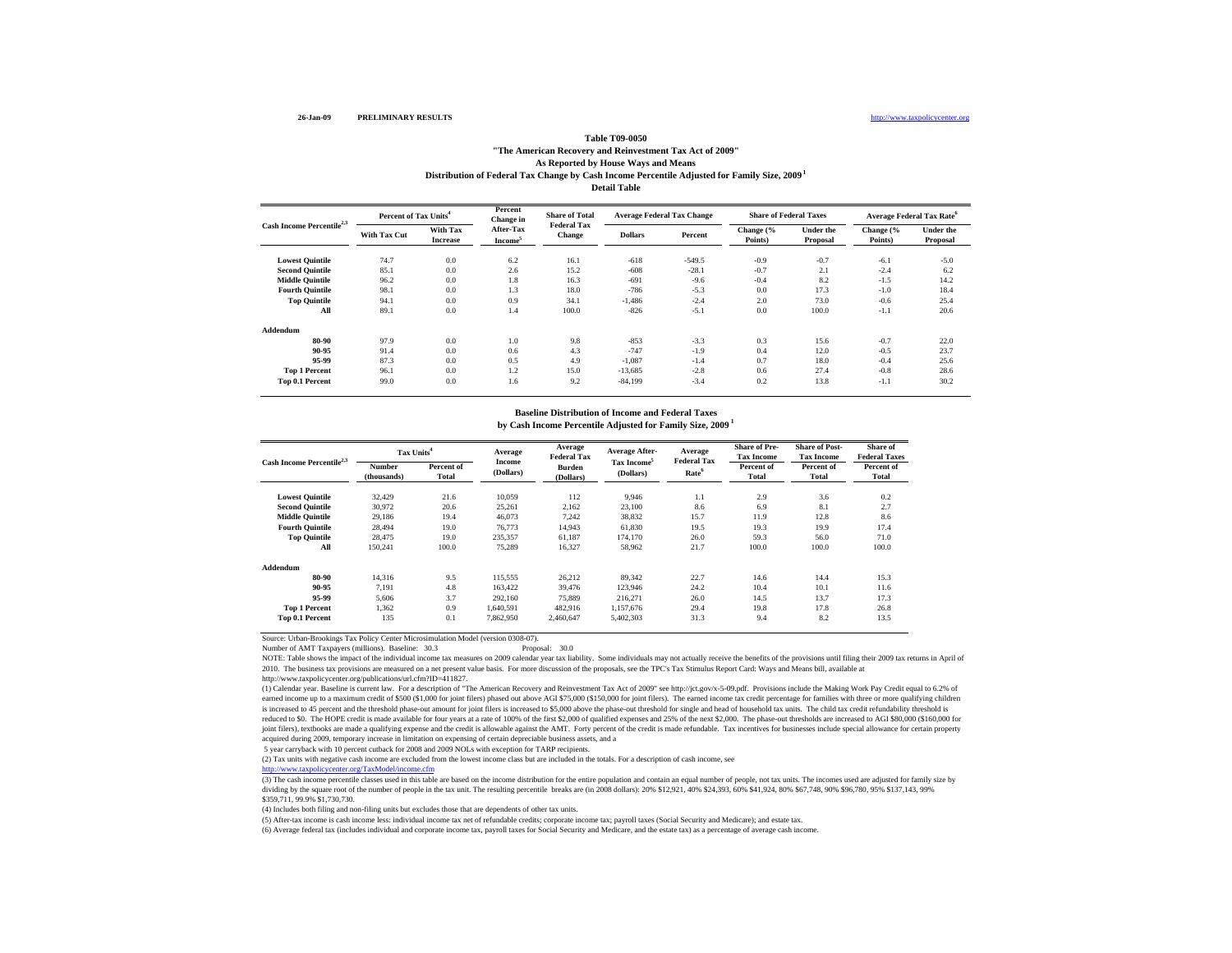#### http://www.taxpolicycenter.org

### **Table T09-0050 "The American Recovery and Reinvestment Tax Act of 2009" As Reported by House Ways and Means Distribution of Federal Tax Change by Cash Income Percentile Adjusted for Family Size, 2009 1 Detail Table**

|                                       | Percent of Tax Units <sup>4</sup> |                             | Percent<br>Change in             | <b>Share of Total</b><br><b>Federal Tax</b> |                | <b>Average Federal Tax Change</b> |                      | <b>Share of Federal Taxes</b> | <b>Average Federal Tax Rate<sup>6</sup></b> |                       |
|---------------------------------------|-----------------------------------|-----------------------------|----------------------------------|---------------------------------------------|----------------|-----------------------------------|----------------------|-------------------------------|---------------------------------------------|-----------------------|
| Cash Income Percentile <sup>2,3</sup> | With Tax Cut                      | With Tax<br><b>Increase</b> | After-Tax<br>Income <sup>3</sup> | <b>Change</b>                               | <b>Dollars</b> | Percent                           | Change (%<br>Points) | <b>Under the</b><br>Proposal  | Change (%<br>Points)                        | Under the<br>Proposal |
| <b>Lowest Quintile</b>                | 74.7                              | 0.0                         | 6.2                              | 16.1                                        | $-618$         | $-549.5$                          | $-0.9$               | $-0.7$                        | $-6.1$                                      | $-5.0$                |
| <b>Second Quintile</b>                | 85.1                              | 0.0                         | 2.6                              | 15.2                                        | $-608$         | $-28.1$                           | $-0.7$               | 2.1                           | $-2.4$                                      | 6.2                   |
| <b>Middle Quintile</b>                | 96.2                              | 0.0                         | 1.8                              | 16.3                                        | $-691$         | $-9.6$                            | $-0.4$               | 8.2                           | $-1.5$                                      | 14.2                  |
| <b>Fourth Quintile</b>                | 98.1                              | 0.0                         | 1.3                              | 18.0                                        | $-786$         | $-5.3$                            | 0.0                  | 17.3                          | $-1.0$                                      | 18.4                  |
| <b>Top Quintile</b>                   | 94.1                              | 0.0                         | 0.9                              | 34.1                                        | $-1,486$       | $-2.4$                            | 2.0                  | 73.0                          | $-0.6$                                      | 25.4                  |
| All                                   | 89.1                              | 0.0                         | 1.4                              | 100.0                                       | $-826$         | $-5.1$                            | 0.0                  | 100.0                         | $-1.1$                                      | 20.6                  |
| Addendum                              |                                   |                             |                                  |                                             |                |                                   |                      |                               |                                             |                       |
| 80-90                                 | 97.9                              | 0.0                         | 1.0                              | 9.8                                         | $-853$         | $-3.3$                            | 0.3                  | 15.6                          | $-0.7$                                      | 22.0                  |
| 90-95                                 | 91.4                              | 0.0                         | 0.6                              | 4.3                                         | $-747$         | $-1.9$                            | 0.4                  | 12.0                          | $-0.5$                                      | 23.7                  |
| 95-99                                 | 87.3                              | 0.0                         | 0.5                              | 4.9                                         | $-1,087$       | $-1.4$                            | 0.7                  | 18.0                          | $-0.4$                                      | 25.6                  |
| <b>Top 1 Percent</b>                  | 96.1                              | 0.0                         | 1.2                              | 15.0                                        | $-13,685$      | $-2.8$                            | 0.6                  | 27.4                          | $-0.8$                                      | 28.6                  |
| Top 0.1 Percent                       | 99.0                              | 0.0                         | 1.6                              | 9.2                                         | $-84.199$      | $-3.4$                            | 0.2                  | 13.8                          | $-1.1$                                      | 30.2                  |

### **by Cash Income Percentile Adjusted for Family Size, 2009 1 Baseline Distribution of Income and Federal Taxes**

| Cash Income Percentile <sup>2,3</sup> | Tax Units <sup>4</sup> |                     | Average             | Average<br><b>Federal Tax</b> | <b>Average After-</b>                | Average<br><b>Federal Tax</b> | <b>Share of Pre-</b><br><b>Tax Income</b> | <b>Share of Post-</b><br><b>Tax Income</b>                                                                | Share of<br><b>Federal Taxes</b> |
|---------------------------------------|------------------------|---------------------|---------------------|-------------------------------|--------------------------------------|-------------------------------|-------------------------------------------|-----------------------------------------------------------------------------------------------------------|----------------------------------|
|                                       | Number<br>(thousands)  | Percent of<br>Total | Income<br>(Dollars) | <b>Burden</b><br>(Dollars)    | Tax Income <sup>5</sup><br>(Dollars) | Rate <sup>6</sup>             | Percent of<br>Total                       | Percent of<br>Total<br>3.6<br>8.1<br>12.8<br>19.9<br>56.0<br>100.0<br>14.4<br>10.1<br>13.7<br>17.8<br>8.2 | Percent of<br><b>Total</b>       |
| <b>Lowest Ouintile</b>                | 32,429                 | 21.6                | 10.059              | 112                           | 9.946                                | 1.1                           | 2.9                                       |                                                                                                           | 0.2                              |
| <b>Second Ouintile</b>                | 30.972                 | 20.6                | 25,261              | 2.162                         | 23,100                               | 8.6                           | 6.9                                       |                                                                                                           | 2.7                              |
| <b>Middle Ouintile</b>                | 29.186                 | 19.4                | 46,073              | 7.242                         | 38,832                               | 15.7                          | 11.9                                      |                                                                                                           | 8.6                              |
| <b>Fourth Ouintile</b>                | 28,494                 | 19.0                | 76.773              | 14,943                        | 61,830                               | 19.5                          | 19.3                                      |                                                                                                           | 17.4                             |
| <b>Top Quintile</b>                   | 28,475                 | 19.0                | 235,357             | 61,187                        | 174,170                              | 26.0                          | 59.3                                      |                                                                                                           | 71.0                             |
| All                                   | 150,241                | 100.0               | 75,289              | 16,327                        | 58,962                               | 21.7                          | 100.0                                     |                                                                                                           | 100.0                            |
| Addendum                              |                        |                     |                     |                               |                                      |                               |                                           |                                                                                                           |                                  |
| 80-90                                 | 14.316                 | 9.5                 | 115.555             | 26.212                        | 89,342                               | 22.7                          | 14.6                                      |                                                                                                           | 15.3                             |
| 90-95                                 | 7.191                  | 4.8                 | 163.422             | 39.476                        | 123,946                              | 24.2                          | 10.4                                      |                                                                                                           | 11.6                             |
| 95-99                                 | 5,606                  | 3.7                 | 292.160             | 75,889                        | 216,271                              | 26.0                          | 14.5                                      |                                                                                                           | 17.3                             |
| <b>Top 1 Percent</b>                  | 1.362                  | 0.9                 | 1,640,591           | 482,916                       | 1,157,676                            | 29.4                          | 19.8                                      |                                                                                                           | 26.8                             |
| Top 0.1 Percent                       | 135                    | 0.1                 | 7,862,950           | 2.460,647                     | 5,402,303                            | 31.3                          | 9.4                                       |                                                                                                           | 13.5                             |

Source: Urban-Brookings Tax Policy Center Microsimulation Model (version 0308-07).

Number of AMT Taxpayers (millions). Baseline: 30.3 Proposal: 30.0

NOTE: Table shows the impact of the individual income tax measures on 2009 calendar year tax liability. Some individuals may not actually receive the benefits of the provisions until filing their 2009 tax returns in April 2010. The business tax provisions are measured on a net present value basis. For more discussion of the proposals, see the TPC's Tax Stimulus Report Card: Ways and Means bill, available at

http://www.taxpolicycenter.org/publications/url.cfm?ID=411827.

(1) Calendar year. Baseline is current law. For a description of "The American Recovery and Reinvestment Tax Act of 2009" see http://jct.gov/x-5-09.pdf. Provisions include the Making Work Pay Credit equal to 6.2% of earned income up to a maximum credit of \$500 (\$1,000 for joint filers) phased out above AGI \$75,000 (\$150,000 for joint filers). The earned income tax credit percentage for families with three or more qualifying children is increased to 45 percent and the threshold phase-out amount for joint filers is increased to \$5,000 above the phase-out threshold for single and head of household tax units. The child tax credit refundability threshold i reduced to \$0. The HOPE credit is made available for four years at a rate of 100% of the first \$2,000 of qualified expenses and 25% of the next \$2,000. The phase-out thresholds are increased to AGI \$80,000 (\$160,000 for joint filers), textbooks are made a qualifying expense and the credit is allowable against the AMT. Forty percent of the credit is made refundable. Tax incentives for businesses include special allowance for certain property acquired during 2009, temporary increase in limitation on expensing of certain depreciable business assets, and a

5 year carryback with 10 percent cutback for 2008 and 2009 NOLs with exception for TARP recipients.

(2) Tax units with negative cash income are excluded from the lowest income class but are included in the totals. For a description of cash income, see http://www.taxpolicycenter.org/TaxModel/income.cfm

http://www.taxpolicycenter.org/TaxModel/income.cfm<br>(3) The cash income percentile classes used in this table are based on the income distribution for the entire population and contain an equal number of people, not tax uni dividing by the square root of the number of people in the tax unit. The resulting percentile breaks are (in 2008 dollars): 20% \$12,921, 40% \$24,393, 60% \$41,924, 80% \$67,748, 90% \$96,780, 95% \$137,143, 99% \$359,711, 99.9% \$1,730,730.

(4) Includes both filing and non-filing units but excludes those that are dependents of other tax units.

(5) After-tax income is cash income less: individual income tax net of refundable credits; corporate income tax; payroll taxes (Social Security and Medicare); and estate tax.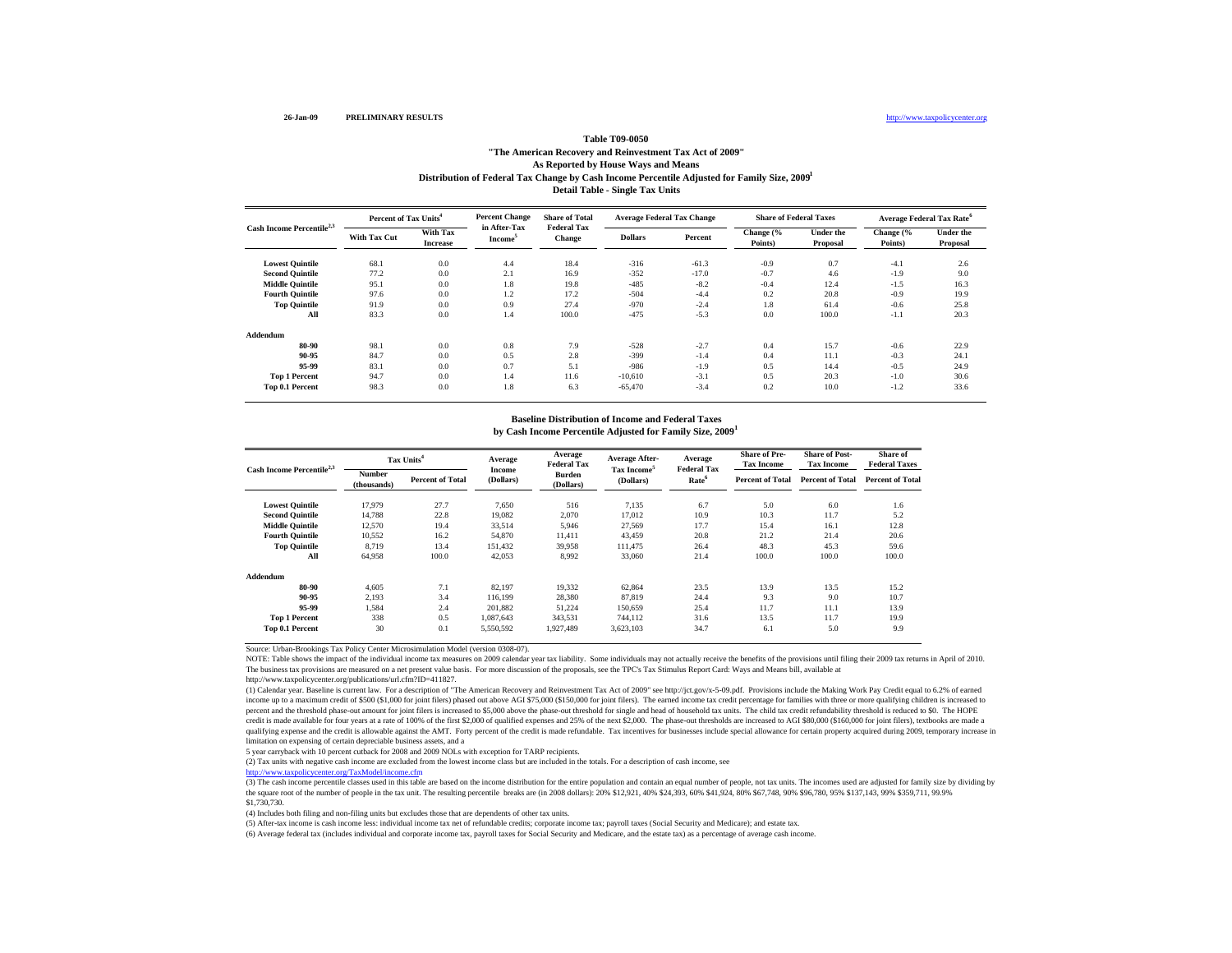### Distribution of Federal Tax Change by Cash Income Percentile Adjusted for Family Size, 2009<sup>1</sup> **Detail Table - Single Tax Units Table T09-0050 "The American Recovery and Reinvestment Tax Act of 2009" As Reported by House Ways and Means**

|                                       | Percent of Tax Units <sup>4</sup> |                             | <b>Percent Change</b>               | <b>Share of Total</b>               | <b>Average Federal Tax Change</b> |         |                      | <b>Share of Federal Taxes</b> | <b>Average Federal Tax Rate<sup>6</sup></b> |                              |
|---------------------------------------|-----------------------------------|-----------------------------|-------------------------------------|-------------------------------------|-----------------------------------|---------|----------------------|-------------------------------|---------------------------------------------|------------------------------|
| Cash Income Percentile <sup>2,3</sup> | With Tax Cut                      | With Tax<br><b>Increase</b> | in After-Tax<br>Income <sup>5</sup> | <b>Federal Tax</b><br><b>Change</b> | <b>Dollars</b>                    | Percent | Change (%<br>Points) | <b>Under the</b><br>Proposal  | Change (%<br>Points)                        | <b>Under the</b><br>Proposal |
| <b>Lowest Quintile</b>                | 68.1                              | 0.0                         | 4.4                                 | 18.4                                | $-316$                            | $-61.3$ | $-0.9$               | 0.7                           | $-4.1$                                      | 2.6                          |
| <b>Second Quintile</b>                | 77.2                              | 0.0                         | 2.1                                 | 16.9                                | $-352$                            | $-17.0$ | $-0.7$               | 4.6                           | $-1.9$                                      | 9.0                          |
| <b>Middle Quintile</b>                | 95.1                              | 0.0                         | 1.8                                 | 19.8                                | $-485$                            | $-8.2$  | $-0.4$               | 12.4                          | $-1.5$                                      | 16.3                         |
| <b>Fourth Quintile</b>                | 97.6                              | 0.0                         | 1.2                                 | 17.2                                | $-504$                            | $-4.4$  | 0.2                  | 20.8                          | $-0.9$                                      | 19.9                         |
| <b>Top Quintile</b>                   | 91.9                              | 0.0                         | 0.9                                 | 27.4                                | $-970$                            | $-2.4$  | 1.8                  | 61.4                          | $-0.6$                                      | 25.8                         |
| All                                   | 83.3                              | 0.0                         | 1.4                                 | 100.0                               | $-475$                            | $-5.3$  | 0.0                  | 100.0                         | $-1.1$                                      | 20.3                         |
| Addendum                              |                                   |                             |                                     |                                     |                                   |         |                      |                               |                                             |                              |
| 80-90                                 | 98.1                              | 0.0                         | 0.8                                 | 7.9                                 | $-528$                            | $-2.7$  | 0.4                  | 15.7                          | $-0.6$                                      | 22.9                         |
| 90-95                                 | 84.7                              | 0.0                         | 0.5                                 | 2.8                                 | $-399$                            | $-1.4$  | 0.4                  | 11.1                          | $-0.3$                                      | 24.1                         |
| 95-99                                 | 83.1                              | 0.0                         | 0.7                                 | 5.1                                 | $-986$                            | $-1.9$  | 0.5                  | 14.4                          | $-0.5$                                      | 24.9                         |
| <b>Top 1 Percent</b>                  | 94.7                              | 0.0                         | 1.4                                 | 11.6                                | $-10,610$                         | $-3.1$  | 0.5                  | 20.3                          | $-1.0$                                      | 30.6                         |
| <b>Top 0.1 Percent</b>                | 98.3                              | 0.0                         | 1.8                                 | 6.3                                 | $-65,470$                         | $-3.4$  | 0.2                  | 10.0                          | $-1.2$                                      | 33.6                         |

#### **by Cash Income Percentile Adjusted for Family Size, 2009 1 Baseline Distribution of Income and Federal Taxes**

|                                       | Tax Units <sup>4</sup> |                         | Average             | Average<br><b>Federal Tax</b> | <b>Average After-</b>                | Average<br><b>Federal Tax</b> | <b>Share of Pre-</b><br><b>Tax Income</b> | <b>Share of Post-</b><br><b>Tax Income</b> | Share of<br><b>Federal Taxes</b> |
|---------------------------------------|------------------------|-------------------------|---------------------|-------------------------------|--------------------------------------|-------------------------------|-------------------------------------------|--------------------------------------------|----------------------------------|
| Cash Income Percentile <sup>2,3</sup> | Number<br>(thousands)  | <b>Percent of Total</b> | Income<br>(Dollars) | Burden<br>(Dollars)           | Tax Income <sup>5</sup><br>(Dollars) | Rate <sup>6</sup>             | <b>Percent of Total</b>                   | <b>Percent of Total</b>                    | <b>Percent of Total</b>          |
| <b>Lowest Quintile</b>                | 17,979                 | 27.7                    | 7,650               | 516                           | 7,135                                | 6.7                           | 5.0                                       | 6.0                                        | 1.6                              |
| <b>Second Quintile</b>                | 14,788                 | 22.8                    | 19,082              | 2,070                         | 17,012                               | 10.9                          | 10.3                                      | 11.7                                       | 5.2                              |
| <b>Middle Ouintile</b>                | 12,570                 | 19.4                    | 33,514              | 5,946                         | 27,569                               | 17.7                          | 15.4                                      | 16.1                                       | 12.8                             |
| <b>Fourth Ouintile</b>                | 10.552                 | 16.2                    | 54,870              | 11.411                        | 43.459                               | 20.8                          | 21.2                                      | 21.4                                       | 20.6                             |
| <b>Top Quintile</b>                   | 8.719                  | 13.4                    | 151.432             | 39,958                        | 111.475                              | 26.4                          | 48.3                                      | 45.3                                       | 59.6                             |
| All                                   | 64,958                 | 100.0                   | 42,053              | 8,992                         | 33,060                               | 21.4                          | 100.0                                     | 100.0                                      | 100.0                            |
| Addendum                              |                        |                         |                     |                               |                                      |                               |                                           |                                            |                                  |
| 80-90                                 | 4,605                  | 7.1                     | 82,197              | 19,332                        | 62,864                               | 23.5                          | 13.9                                      | 13.5                                       | 15.2                             |
| 90-95                                 | 2,193                  | 3.4                     | 116.199             | 28,380                        | 87,819                               | 24.4                          | 9.3                                       | 9.0                                        | 10.7                             |
| 95-99                                 | 1,584                  | 2.4                     | 201,882             | 51,224                        | 150,659                              | 25.4                          | 11.7                                      | 11.1                                       | 13.9                             |
| <b>Top 1 Percent</b>                  | 338                    | 0.5                     | 1,087,643           | 343,531                       | 744,112                              | 31.6                          | 13.5                                      | 11.7                                       | 19.9                             |
| <b>Top 0.1 Percent</b>                | 30                     | 0.1                     | 5.550.592           | 1.927.489                     | 3.623.103                            | 34.7                          | 6.1                                       | 5.0                                        | 9.9                              |

Source: Urban-Brookings Tax Policy Center Microsimulation Model (version 0308-07).

NOTE: Table shows the impact of the individual income tax measures on 2009 calendar year tax liability. Some individuals may not actually receive the benefits of the provisions until filing their 2009 tax returns in April The business tax provisions are measured on a net present value basis. For more discussion of the proposals, see the TPC's Tax Stimulus Report Card: Ways and Means bill, available at

http://www.taxpolicycenter.org/publications/url.cfm?ID=411827.

(1) Calendar year. Baseline is current law. For a description of "The American Recovery and Reinvestment Tax Act of 2009" see http://jct.gov/x-5-09.pdf. Provisions include the Making Work Pay Credit equal to 6.2% of earned income up to a maximum credit of \$500 (\$1,000 for joint filers) phased out above AGI \$75,000 (\$150,000 for joint filers). The earned income tax credit percentage for families with three or more qualifying children is incre percent and the threshold phase-out amount for joint filers is increased to \$5,000 above the phase-out threshold for single and head of household tax units. The child tax credit refundability threshold is reduced to \$0. Th credit is made available for four years at a rate of 100% of the first \$2,000 of qualified expenses and 25% of the next \$2,000. The phase-out thresholds are increased to AGI \$80,000 (\$160,000 for joint filers), textbooks a qualifying expense and the credit is allowable against the AMT. Forty percent of the credit is made refundable. Tax incentives for businesses include special allowance for certain property acquired during 2009, temporary i limitation on expensing of certain depreciable business assets, and a

5 year carryback with 10 percent cutback for 2008 and 2009 NOLs with exception for TARP recipients.

(2) Tax units with negative cash income are excluded from the lowest income class but are included in the totals. For a description of cash income, see

http://www.taxpolicycenter.org/TaxModel/income.cfm

(3) The cash income percentile classes used in this table are based on the income distribution for the entire population and contain an equal number of people, not tax units. The incomes used are adjusted for family size b the square root of the number of people in the tax unit. The resulting percentile breaks are (in 2008 dollars): 20% \$12,921, 40% \$24,393, 60% \$41,924, 80% \$67,748, 90% \$96,780, 95% \$137,143, 99% \$359,711, 99.9% \$1,730,730.

(4) Includes both filing and non-filing units but excludes those that are dependents of other tax units.

(5) After-tax income is cash income less: individual income tax net of refundable credits; corporate income tax; payroll taxes (Social Security and Medicare); and estate tax.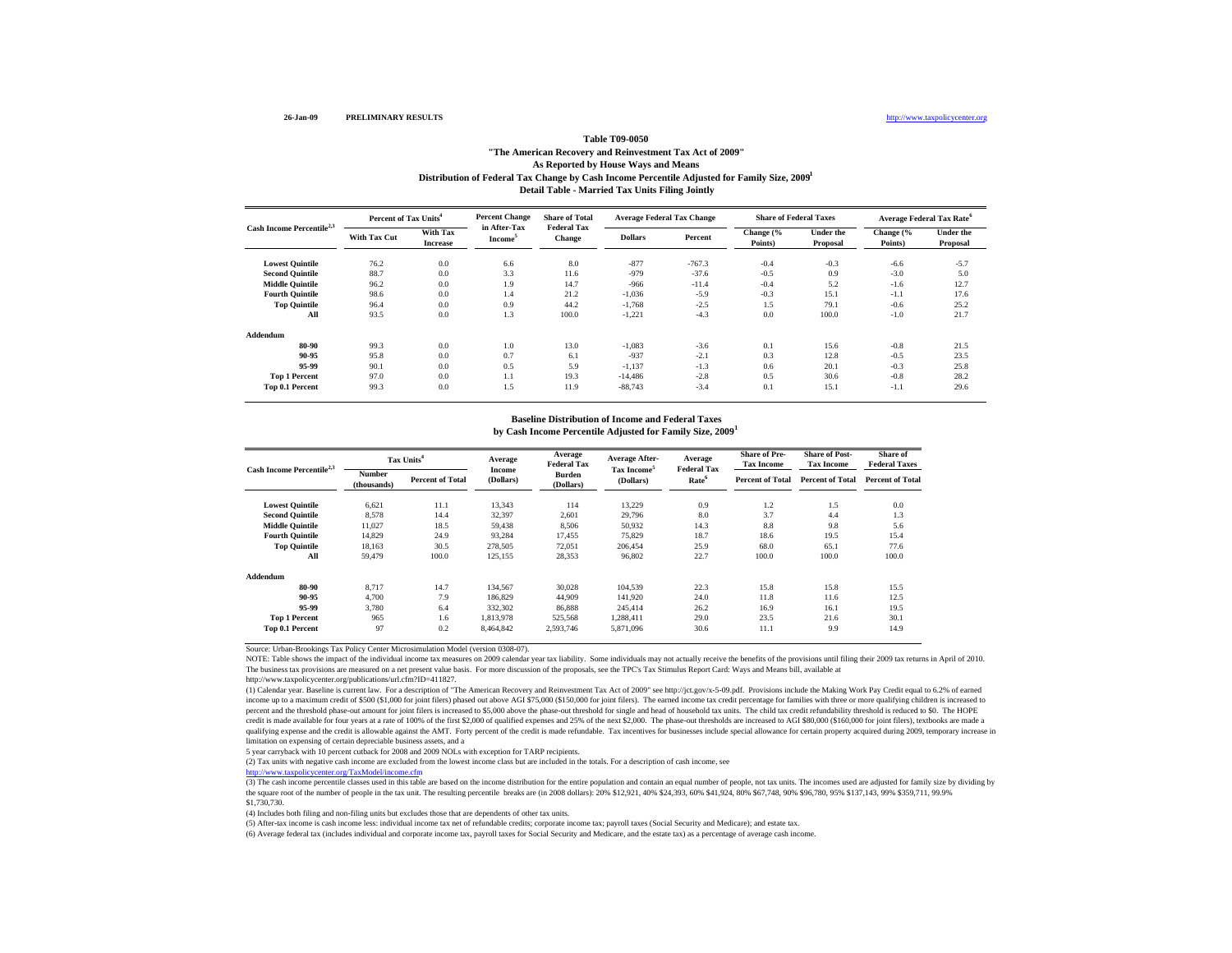### Distribution of Federal Tax Change by Cash Income Percentile Adjusted for Family Size, 2009<sup>1</sup> **Detail Table - Married Tax Units Filing Jointly Table T09-0050 "The American Recovery and Reinvestment Tax Act of 2009" As Reported by House Ways and Means**

|                                       |                     | <b>Percent Change</b><br>Percent of Tax Units <sup>4</sup> |                                     | <b>Share of Total</b>        |                | <b>Average Federal Tax Change</b> | <b>Share of Federal Taxes</b> |                              | <b>Average Federal Tax Rate<sup>6</sup></b> |                              |
|---------------------------------------|---------------------|------------------------------------------------------------|-------------------------------------|------------------------------|----------------|-----------------------------------|-------------------------------|------------------------------|---------------------------------------------|------------------------------|
| Cash Income Percentile <sup>2,3</sup> | <b>With Tax Cut</b> | With Tax<br><b>Increase</b>                                | in After-Tax<br>Income <sup>5</sup> | <b>Federal Tax</b><br>Change | <b>Dollars</b> | Percent                           | Change (%<br>Points)          | <b>Under the</b><br>Proposal | Change (%<br>Points)                        | <b>Under the</b><br>Proposal |
| <b>Lowest Quintile</b>                | 76.2                | 0.0                                                        | 6.6                                 | 8.0                          | $-877$         | $-767.3$                          | $-0.4$                        | $-0.3$                       | $-6.6$                                      | $-5.7$                       |
| <b>Second Quintile</b>                | 88.7                | 0.0                                                        | 3.3                                 | 11.6                         | $-979$         | $-37.6$                           | $-0.5$                        | 0.9                          | $-3.0$                                      | 5.0                          |
| <b>Middle Quintile</b>                | 96.2                | 0.0                                                        | 1.9                                 | 14.7                         | $-966$         | $-11.4$                           | $-0.4$                        | 5.2                          | $-1.6$                                      | 12.7                         |
| <b>Fourth Quintile</b>                | 98.6                | 0.0                                                        | 1.4                                 | 21.2                         | $-1,036$       | $-5.9$                            | $-0.3$                        | 15.1                         | $-1.1$                                      | 17.6                         |
| <b>Top Quintile</b>                   | 96.4                | 0.0                                                        | 0.9                                 | 44.2                         | $-1,768$       | $-2.5$                            | 1.5                           | 79.1                         | $-0.6$                                      | 25.2                         |
| All                                   | 93.5                | 0.0                                                        | 1.3                                 | 100.0                        | $-1,221$       | $-4.3$                            | 0.0                           | 100.0                        | $-1.0$                                      | 21.7                         |
| Addendum                              |                     |                                                            |                                     |                              |                |                                   |                               |                              |                                             |                              |
| 80-90                                 | 99.3                | 0.0                                                        | 1.0                                 | 13.0                         | $-1,083$       | $-3.6$                            | 0.1                           | 15.6                         | $-0.8$                                      | 21.5                         |
| 90-95                                 | 95.8                | 0.0                                                        | 0.7                                 | 6.1                          | $-937$         | $-2.1$                            | 0.3                           | 12.8                         | $-0.5$                                      | 23.5                         |
| 95-99                                 | 90.1                | 0.0                                                        | 0.5                                 | 5.9                          | $-1,137$       | $-1.3$                            | 0.6                           | 20.1                         | $-0.3$                                      | 25.8                         |
| <b>Top 1 Percent</b>                  | 97.0                | 0.0                                                        | 1.1                                 | 19.3                         | $-14.486$      | $-2.8$                            | 0.5                           | 30.6                         | $-0.8$                                      | 28.2                         |
| Top 0.1 Percent                       | 99.3                | 0.0                                                        | 1.5                                 | 11.9                         | $-88,743$      | $-3.4$                            | 0.1                           | 15.1                         | $-1.1$                                      | 29.6                         |

#### **by Cash Income Percentile Adjusted for Family Size, 2009 1 Baseline Distribution of Income and Federal Taxes**

| Cash Income Percentile <sup>2,3</sup> |                       | Tax Units <sup>4</sup>  | Average             | Average<br><b>Federal Tax</b> | Average After-                       | Average<br><b>Federal Tax</b> | <b>Share of Pre-</b><br><b>Tax Income</b> | <b>Share of Post-</b><br><b>Tax Income</b> | Share of<br><b>Federal Taxes</b> |
|---------------------------------------|-----------------------|-------------------------|---------------------|-------------------------------|--------------------------------------|-------------------------------|-------------------------------------------|--------------------------------------------|----------------------------------|
|                                       | Number<br>(thousands) | <b>Percent of Total</b> | Income<br>(Dollars) | <b>Burden</b><br>(Dollars)    | Tax Income <sup>5</sup><br>(Dollars) | Rate <sup>6</sup>             | <b>Percent of Total</b>                   | <b>Percent of Total</b>                    | <b>Percent of Total</b>          |
| <b>Lowest Ouintile</b>                | 6.621                 | 11.1                    | 13.343              | 114                           | 13,229                               | 0.9                           | 1.2                                       | 1.5                                        | 0.0                              |
| <b>Second Ouintile</b>                | 8.578                 | 14.4                    | 32,397              | 2.601                         | 29,796                               | 8.0                           | 3.7                                       | 4.4                                        | 1.3                              |
| <b>Middle Quintile</b>                | 11,027                | 18.5                    | 59,438              | 8,506                         | 50,932                               | 14.3                          | 8.8                                       | 9.8                                        | 5.6                              |
| <b>Fourth Ouintile</b>                | 14,829                | 24.9                    | 93,284              | 17.455                        | 75,829                               | 18.7                          | 18.6                                      | 19.5                                       | 15.4                             |
| <b>Top Quintile</b>                   | 18.163                | 30.5                    | 278,505             | 72.051                        | 206.454                              | 25.9                          | 68.0                                      | 65.1                                       | 77.6                             |
| All                                   | 59.479                | 100.0                   | 125.155             | 28,353                        | 96,802                               | 22.7                          | 100.0                                     | 100.0                                      | 100.0                            |
| Addendum                              |                       |                         |                     |                               |                                      |                               |                                           |                                            |                                  |
| 80-90                                 | 8.717                 | 14.7                    | 134,567             | 30.028                        | 104.539                              | 22.3                          | 15.8                                      | 15.8                                       | 15.5                             |
| 90-95                                 | 4,700                 | 7.9                     | 186,829             | 44,909                        | 141,920                              | 24.0                          | 11.8                                      | 11.6                                       | 12.5                             |
| 95-99                                 | 3.780                 | 6.4                     | 332,302             | 86,888                        | 245.414                              | 26.2                          | 16.9                                      | 16.1                                       | 19.5                             |
| <b>Top 1 Percent</b>                  | 965                   | 1.6                     | 1,813,978           | 525,568                       | 1,288,411                            | 29.0                          | 23.5                                      | 21.6                                       | 30.1                             |
| <b>Top 0.1 Percent</b>                | 97                    | 0.2                     | 8.464.842           | 2,593,746                     | 5,871,096                            | 30.6                          | 11.1                                      | 9.9                                        | 14.9                             |

Source: Urban-Brookings Tax Policy Center Microsimulation Model (version 0308-07).

NOTE: Table shows the impact of the individual income tax measures on 2009 calendar year tax liability. Some individuals may not actually receive the benefits of the provisions until filing their 2009 tax returns in April The business tax provisions are measured on a net present value basis. For more discussion of the proposals, see the TPC's Tax Stimulus Report Card: Ways and Means bill, available at

http://www.taxpolicycenter.org/publications/url.cfm?ID=411827.

(1) Calendar year. Baseline is current law. For a description of "The American Recovery and Reinvestment Tax Act of 2009" see http://jct.gov/x-5-09.pdf. Provisions include the Making Work Pay Credit equal to 6.2% of earned income up to a maximum credit of \$500 (\$1,000 for joint filers) phased out above AGI \$75,000 (\$150,000 for joint filers). The earned income tax credit percentage for families with three or more qualifying children is incre percent and the threshold phase-out amount for joint filers is increased to \$5,000 above the phase-out threshold for single and head of household tax units. The child tax credit refundability threshold is reduced to \$0. Th credit is made available for four years at a rate of 100% of the first \$2,000 of qualified expenses and 25% of the next \$2,000. The phase-out thresholds are increased to AGI \$80,000 (\$160,000 for joint filers), textbooks a qualifying expense and the credit is allowable against the AMT. Forty percent of the credit is made refundable. Tax incentives for businesses include special allowance for certain property acquired during 2009, temporary i limitation on expensing of certain depreciable business assets, and a

5 year carryback with 10 percent cutback for 2008 and 2009 NOLs with exception for TARP recipients.

(2) Tax units with negative cash income are excluded from the lowest income class but are included in the totals. For a description of cash income, see

http://www.taxpolicycenter.org/TaxModel/income.cfm

(3) The cash income percentile classes used in this table are based on the income distribution for the entire population and contain an equal number of people, not tax units. The incomes used are adjusted for family size b the square root of the number of people in the tax unit. The resulting percentile breaks are (in 2008 dollars): 20% \$12,921, 40% \$24,393, 60% \$41,924, 80% \$67,748, 90% \$96,780, 95% \$137,143, 99% \$359,711, 99.9% \$1,730,730.

(4) Includes both filing and non-filing units but excludes those that are dependents of other tax units.

(5) After-tax income is cash income less: individual income tax net of refundable credits; corporate income tax; payroll taxes (Social Security and Medicare); and estate tax.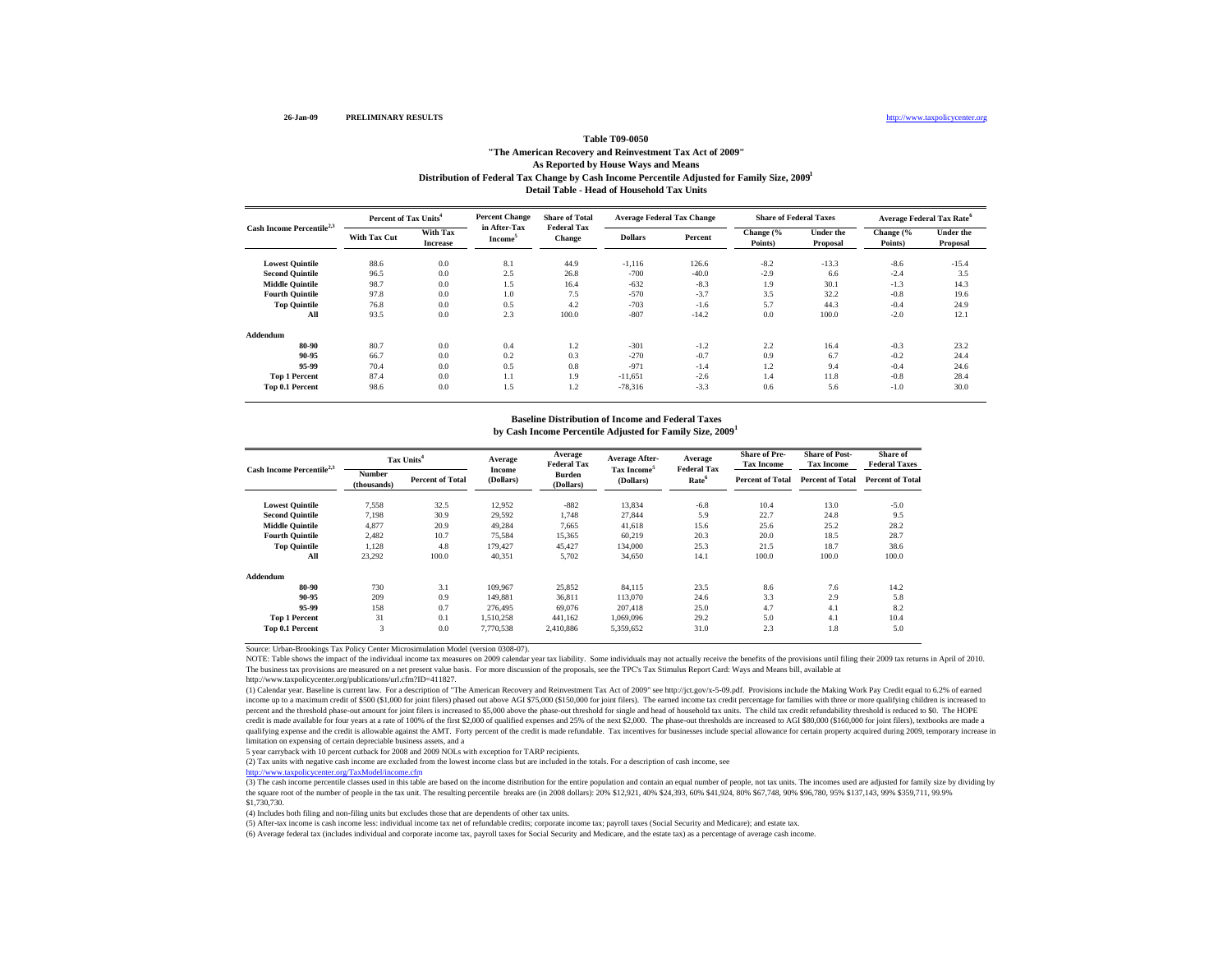## Distribution of Federal Tax Change by Cash Income Percentile Adjusted for Family Size, 2009<sup>1</sup> **Detail Table - Head of Household Tax Units Table T09-0050 "The American Recovery and Reinvestment Tax Act of 2009" As Reported by House Ways and Means**

|                                       | Percent of Tax Units <sup>4</sup> |                             | <b>Percent Change</b>               | <b>Share of Total</b>               | <b>Average Federal Tax Change</b> |         | <b>Share of Federal Taxes</b> |                       | <b>Average Federal Tax Rate<sup>6</sup></b> |                       |
|---------------------------------------|-----------------------------------|-----------------------------|-------------------------------------|-------------------------------------|-----------------------------------|---------|-------------------------------|-----------------------|---------------------------------------------|-----------------------|
| Cash Income Percentile <sup>2,3</sup> | With Tax Cut                      | With Tax<br><b>Increase</b> | in After-Tax<br>Income <sup>5</sup> | <b>Federal Tax</b><br><b>Change</b> | <b>Dollars</b>                    | Percent | Change (%<br>Points)          | Under the<br>Proposal | Change (%<br>Points)                        | Under the<br>Proposal |
| <b>Lowest Quintile</b>                | 88.6                              | 0.0                         | 8.1                                 | 44.9                                | $-1,116$                          | 126.6   | $-8.2$                        | $-13.3$               | $-8.6$                                      | $-15.4$               |
| <b>Second Quintile</b>                | 96.5                              | 0.0                         | 2.5                                 | 26.8                                | $-700$                            | $-40.0$ | $-2.9$                        | 6.6                   | $-2.4$                                      | 3.5                   |
| <b>Middle Quintile</b>                | 98.7                              | 0.0                         | 1.5                                 | 16.4                                | $-632$                            | $-8.3$  | 1.9                           | 30.1                  | $-1.3$                                      | 14.3                  |
| <b>Fourth Quintile</b>                | 97.8                              | 0.0                         | 1.0                                 | 7.5                                 | $-570$                            | $-3.7$  | 3.5                           | 32.2                  | $-0.8$                                      | 19.6                  |
| <b>Top Quintile</b>                   | 76.8                              | 0.0                         | 0.5                                 | 4.2                                 | $-703$                            | $-1.6$  | 5.7                           | 44.3                  | $-0.4$                                      | 24.9                  |
| All                                   | 93.5                              | 0.0                         | 2.3                                 | 100.0                               | $-807$                            | $-14.2$ | 0.0                           | 100.0                 | $-2.0$                                      | 12.1                  |
| Addendum                              |                                   |                             |                                     |                                     |                                   |         |                               |                       |                                             |                       |
| 80-90                                 | 80.7                              | 0.0                         | 0.4                                 | 1.2                                 | $-301$                            | $-1.2$  | 2.2                           | 16.4                  | $-0.3$                                      | 23.2                  |
| 90-95                                 | 66.7                              | 0.0                         | 0.2                                 | 0.3                                 | $-270$                            | $-0.7$  | 0.9                           | 6.7                   | $-0.2$                                      | 24.4                  |
| 95-99                                 | 70.4                              | 0.0                         | 0.5                                 | 0.8                                 | $-971$                            | $-1.4$  | 1.2                           | 9.4                   | $-0.4$                                      | 24.6                  |
| <b>Top 1 Percent</b>                  | 87.4                              | 0.0                         | 1.1                                 | 1.9                                 | $-11,651$                         | $-2.6$  | 1.4                           | 11.8                  | $-0.8$                                      | 28.4                  |
| <b>Top 0.1 Percent</b>                | 98.6                              | 0.0                         | 1.5                                 | 1.2                                 | $-78,316$                         | $-3.3$  | 0.6                           | 5.6                   | $-1.0$                                      | 30.0                  |

#### **by Cash Income Percentile Adjusted for Family Size, 2009 1 Baseline Distribution of Income and Federal Taxes**

|                                       |                       | Tax Units <sup>4</sup>  |                     | Average<br><b>Federal Tax</b> | <b>Average After-</b><br>Tax Income <sup>5</sup> | Average<br><b>Federal Tax</b> | <b>Share of Pre-</b><br><b>Tax Income</b> | <b>Share of Post-</b><br><b>Tax Income</b> | Share of<br><b>Federal Taxes</b> |
|---------------------------------------|-----------------------|-------------------------|---------------------|-------------------------------|--------------------------------------------------|-------------------------------|-------------------------------------------|--------------------------------------------|----------------------------------|
| Cash Income Percentile <sup>2,3</sup> | Number<br>(thousands) | <b>Percent of Total</b> | Income<br>(Dollars) | Burden<br>(Dollars)           | (Dollars)                                        | Rate <sup>6</sup>             | <b>Percent of Total</b>                   | <b>Percent of Total</b>                    | <b>Percent of Total</b>          |
| <b>Lowest Ouintile</b>                | 7.558                 | 32.5                    | 12,952              | $-882$                        | 13,834                                           | $-6.8$                        | 10.4                                      | 13.0                                       | $-5.0$                           |
| <b>Second Quintile</b>                | 7.198                 | 30.9                    | 29.592              | 1.748                         | 27.844                                           | 5.9                           | 22.7                                      | 24.8                                       | 9.5                              |
| <b>Middle Quintile</b>                | 4,877                 | 20.9                    | 49,284              | 7.665                         | 41,618                                           | 15.6                          | 25.6                                      | 25.2                                       | 28.2                             |
| <b>Fourth Quintile</b>                | 2,482                 | 10.7                    | 75.584              | 15,365                        | 60,219                                           | 20.3                          | 20.0                                      | 18.5                                       | 28.7                             |
| <b>Top Quintile</b>                   | 1.128                 | 4.8                     | 179.427             | 45,427                        | 134,000                                          | 25.3                          | 21.5                                      | 18.7                                       | 38.6                             |
| All                                   | 23,292                | 100.0                   | 40.351              | 5,702                         | 34,650                                           | 14.1                          | 100.0                                     | 100.0                                      | 100.0                            |
| Addendum                              |                       |                         |                     |                               |                                                  |                               |                                           |                                            |                                  |
| 80-90                                 | 730                   | 3.1                     | 109,967             | 25,852                        | 84.115                                           | 23.5                          | 8.6                                       | 7.6                                        | 14.2                             |
| 90-95                                 | 209                   | 0.9                     | 149.881             | 36,811                        | 113,070                                          | 24.6                          | 3.3                                       | 2.9                                        | 5.8                              |
| 95-99                                 | 158                   | 0.7                     | 276,495             | 69,076                        | 207.418                                          | 25.0                          | 4.7                                       | 4.1                                        | 8.2                              |
| <b>Top 1 Percent</b>                  | 31                    | 0.1                     | 1,510,258           | 441,162                       | 1,069,096                                        | 29.2                          | 5.0                                       | 4.1                                        | 10.4                             |
| Top 0.1 Percent                       | 3                     | 0.0                     | 7,770,538           | 2,410,886                     | 5,359,652                                        | 31.0                          | 2.3                                       | 1.8                                        | 5.0                              |

Source: Urban-Brookings Tax Policy Center Microsimulation Model (version 0308-07).

NOTE: Table shows the impact of the individual income tax measures on 2009 calendar year tax liability. Some individuals may not actually receive the benefits of the provisions until filing their 2009 tax returns in April The business tax provisions are measured on a net present value basis. For more discussion of the proposals, see the TPC's Tax Stimulus Report Card: Ways and Means bill, available at

http://www.taxpolicycenter.org/publications/url.cfm?ID=411827.

(1) Calendar year. Baseline is current law. For a description of "The American Recovery and Reinvestment Tax Act of 2009" see http://jct.gov/x-5-09.pdf. Provisions include the Making Work Pay Credit equal to 6.2% of earned income up to a maximum credit of \$500 (\$1,000 for joint filers) phased out above AGI \$75,000 (\$150,000 for joint filers). The earned income tax credit percentage for families with three or more qualifying children is incre percent and the threshold phase-out amount for joint filers is increased to \$5,000 above the phase-out threshold for single and head of household tax units. The child tax credit refundability threshold is reduced to \$0. Th credit is made available for four years at a rate of 100% of the first \$2,000 of qualified expenses and 25% of the next \$2,000. The phase-out thresholds are increased to AGI \$80,000 (\$160,000 for joint filers), textbooks a qualifying expense and the credit is allowable against the AMT. Forty percent of the credit is made refundable. Tax incentives for businesses include special allowance for certain property acquired during 2009, temporary i limitation on expensing of certain depreciable business assets, and a

5 year carryback with 10 percent cutback for 2008 and 2009 NOLs with exception for TARP recipients.

(2) Tax units with negative cash income are excluded from the lowest income class but are included in the totals. For a description of cash income, see

http://www.taxpolicycenter.org/TaxModel/income.cfm

(3) The cash income percentile classes used in this table are based on the income distribution for the entire population and contain an equal number of people, not tax units. The incomes used are adjusted for family size b the square root of the number of people in the tax unit. The resulting percentile breaks are (in 2008 dollars): 20% \$12,921, 40% \$24,393, 60% \$41,924, 80% \$67,748, 90% \$96,780, 95% \$137,143, 99% \$359,711, 99.9% \$1,730,730.

(4) Includes both filing and non-filing units but excludes those that are dependents of other tax units.

(5) After-tax income is cash income less: individual income tax net of refundable credits; corporate income tax; payroll taxes (Social Security and Medicare); and estate tax.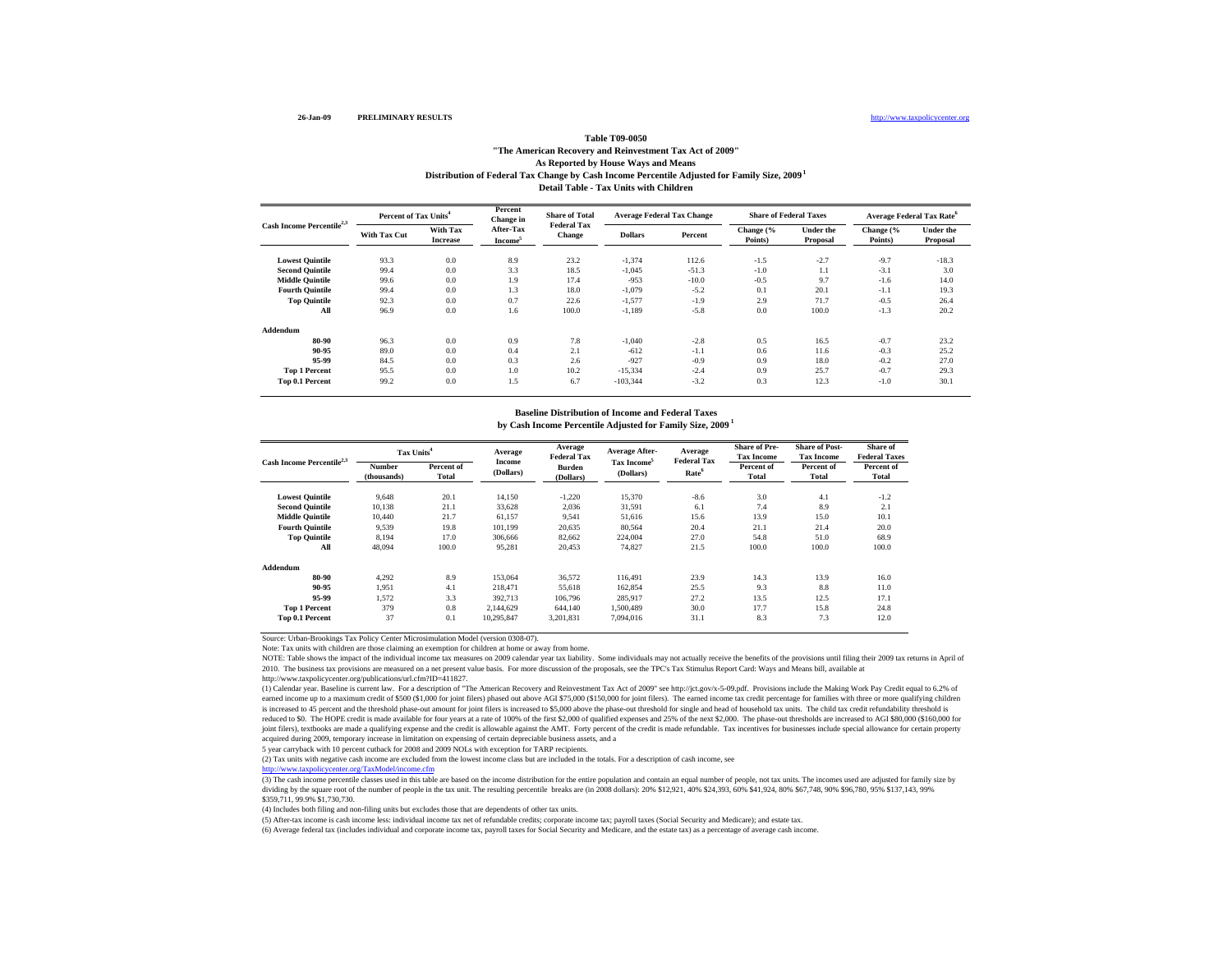#### http://www.taxpolicycenter.org

### **Distribution of Federal Tax Change by Cash Income Percentile Adjusted for Family Size, 2009 1 Detail Table - Tax Units with ChildrenTable T09-0050 "The American Recovery and Reinvestment Tax Act of 2009" As Reported by House Ways and Means**

|                                       |              | Percent of Tax Units <sup>4</sup> |                                  | <b>Share of Total</b><br><b>Federal Tax</b> | <b>Average Federal Tax Change</b> |         | <b>Share of Federal Taxes</b> |                              | <b>Average Federal Tax Rate<sup>6</sup></b> |                              |
|---------------------------------------|--------------|-----------------------------------|----------------------------------|---------------------------------------------|-----------------------------------|---------|-------------------------------|------------------------------|---------------------------------------------|------------------------------|
| Cash Income Percentile <sup>2,3</sup> | With Tax Cut | With Tax<br><b>Increase</b>       | After-Tax<br>Income <sup>5</sup> | Change                                      | <b>Dollars</b>                    | Percent | Change (%<br>Points)          | <b>Under the</b><br>Proposal | Change (%<br>Points)                        | <b>Under the</b><br>Proposal |
| <b>Lowest Quintile</b>                | 93.3         | 0.0                               | 8.9                              | 23.2                                        | $-1,374$                          | 112.6   | $-1.5$                        | $-2.7$                       | $-9.7$                                      | $-18.3$                      |
| <b>Second Quintile</b>                | 99.4         | 0.0                               | 3.3                              | 18.5                                        | $-1,045$                          | $-51.3$ | $-1.0$                        | 1.1                          | $-3.1$                                      | 3.0                          |
| <b>Middle Quintile</b>                | 99.6         | 0.0                               | 1.9                              | 17.4                                        | $-953$                            | $-10.0$ | $-0.5$                        | 9.7                          | $-1.6$                                      | 14.0                         |
| <b>Fourth Quintile</b>                | 99.4         | 0.0                               | 1.3                              | 18.0                                        | $-1,079$                          | $-5.2$  | 0.1                           | 20.1                         | $-1.1$                                      | 19.3                         |
| <b>Top Quintile</b>                   | 92.3         | 0.0                               | 0.7                              | 22.6                                        | $-1,577$                          | $-1.9$  | 2.9                           | 71.7                         | $-0.5$                                      | 26.4                         |
| All                                   | 96.9         | 0.0                               | 1.6                              | 100.0                                       | $-1,189$                          | $-5.8$  | 0.0                           | 100.0                        | $-1.3$                                      | 20.2                         |
| Addendum                              |              |                                   |                                  |                                             |                                   |         |                               |                              |                                             |                              |
| 80-90                                 | 96.3         | 0.0                               | 0.9                              | 7.8                                         | $-1,040$                          | $-2.8$  | 0.5                           | 16.5                         | $-0.7$                                      | 23.2                         |
| 90-95                                 | 89.0         | 0.0                               | 0.4                              | 2.1                                         | $-612$                            | $-1.1$  | 0.6                           | 11.6                         | $-0.3$                                      | 25.2                         |
| 95-99                                 | 84.5         | 0.0                               | 0.3                              | 2.6                                         | $-927$                            | $-0.9$  | 0.9                           | 18.0                         | $-0.2$                                      | 27.0                         |
| <b>Top 1 Percent</b>                  | 95.5         | 0.0                               | 1.0                              | 10.2                                        | $-15,334$                         | $-2.4$  | 0.9                           | 25.7                         | $-0.7$                                      | 29.3                         |
| Top 0.1 Percent                       | 99.2         | 0.0                               | 1.5                              | 6.7                                         | $-103.344$                        | $-3.2$  | 0.3                           | 12.3                         | $-1.0$                                      | 30.1                         |

### **by Cash Income Percentile Adjusted for Family Size, 2009 1 Baseline Distribution of Income and Federal Taxes**

| Cash Income Percentile <sup>2,3</sup> | Tax Units <sup>4</sup>       |                     | Average             | Average<br><b>Federal Tax</b> | <b>Average After-</b>   | Average<br><b>Federal Tax</b> | <b>Share of Pre-</b><br><b>Tax Income</b> | <b>Share of Post-</b><br><b>Tax Income</b> | Share of<br><b>Federal Taxes</b> |
|---------------------------------------|------------------------------|---------------------|---------------------|-------------------------------|-------------------------|-------------------------------|-------------------------------------------|--------------------------------------------|----------------------------------|
|                                       | <b>Number</b><br>(thousands) | Percent of<br>Total | Income<br>(Dollars) | <b>Burden</b><br>(Dollars)    | Tax Income<br>(Dollars) | Rate <sup>6</sup>             | Percent of<br>Total                       | Percent of<br>Total                        | Percent of<br>Total              |
| <b>Lowest Quintile</b>                | 9,648                        | 20.1                | 14,150              | $-1,220$                      | 15,370                  | $-8.6$                        | 3.0                                       | 4.1                                        | $-1.2$                           |
| <b>Second Quintile</b>                | 10,138                       | 21.1                | 33,628              | 2,036                         | 31,591                  | 6.1                           | 7.4                                       | 8.9                                        | 2.1                              |
| <b>Middle Quintile</b>                | 10.440                       | 21.7                | 61,157              | 9,541                         | 51,616                  | 15.6                          | 13.9                                      | 15.0                                       | 10.1                             |
| <b>Fourth Quintile</b>                | 9,539                        | 19.8                | 101.199             | 20,635                        | 80,564                  | 20.4                          | 21.1                                      | 21.4                                       | 20.0                             |
| <b>Top Quintile</b>                   | 8.194                        | 17.0                | 306,666             | 82,662                        | 224,004                 | 27.0                          | 54.8                                      | 51.0                                       | 68.9                             |
| All                                   | 48.094                       | 100.0               | 95,281              | 20,453                        | 74.827                  | 21.5                          | 100.0                                     | 100.0                                      | 100.0                            |
| Addendum                              |                              |                     |                     |                               |                         |                               |                                           |                                            |                                  |
| 80-90                                 | 4,292                        | 8.9                 | 153,064             | 36,572                        | 116.491                 | 23.9                          | 14.3                                      | 13.9                                       | 16.0                             |
| 90-95                                 | 1.951                        | 4.1                 | 218.471             | 55,618                        | 162.854                 | 25.5                          | 9.3                                       | 8.8                                        | 11.0                             |
| 95-99                                 | 1.572                        | 3.3                 | 392.713             | 106,796                       | 285.917                 | 27.2                          | 13.5                                      | 12.5                                       | 17.1                             |
| <b>Top 1 Percent</b>                  | 379                          | 0.8                 | 2.144.629           | 644,140                       | 1.500.489               | 30.0                          | 17.7                                      | 15.8                                       | 24.8                             |
| Top 0.1 Percent                       | 37                           | 0.1                 | 10,295,847          | 3,201,831                     | 7.094.016               | 31.1                          | 8.3                                       | 7.3                                        | 12.0                             |

Source: Urban-Brookings Tax Policy Center Microsimulation Model (version 0308-07).

Note: Tax units with children are those claiming an exemption for children at home or away from home.

NOTE: Table shows the impact of the individual income tax measures on 2009 calendar year tax liability. Some individuals may not actually receive the benefits of the provisions until filing their 2009 tax returns in April 2010. The business tax provisions are measured on a net present value basis. For more discussion of the proposals, see the TPC's Tax Stimulus Report Card: Ways and Means bill, available at

http://www.taxpolicycenter.org/publications/url.cfm?ID=411827.

(1) Calendar year. Baseline is current law. For a description of "The American Recovery and Reinvestment Tax Act of 2009" see http://jct.gov/x-5-09.pdf. Provisions include the Making Work Pay Credit equal to 6.2% of earned income up to a maximum credit of \$500 (\$1,000 for joint filers) phased out above AGI \$75,000 (\$150,000 for joint filers). The earned income tax credit percentage for families with three or more qualifying children is increased to 45 percent and the threshold phase-out amount for joint filers is increased to \$5,000 above the phase-out threshold for single and head of household tax units. The child tax credit refundability threshold i reduced to \$0. The HOPE credit is made available for four years at a rate of 100% of the first \$2,000 of qualified expenses and 25% of the next \$2,000. The phase-out thresholds are increased to AGI \$80,000 (\$160,000 for joint filers), textbooks are made a qualifying expense and the credit is allowable against the AMT. Forty percent of the credit is made refundable. Tax incentives for businesses include special allowance for certain property acquired during 2009, temporary increase in limitation on expensing of certain depreciable business assets, and a

5 year carryback with 10 percent cutback for 2008 and 2009 NOLs with exception for TARP recipients.

(2) Tax units with negative cash income are excluded from the lowest income class but are included in the totals. For a description of cash income, see http://www.taxpolicycenter.org/TaxModel/income.cfm

http://www.taxpolicycenter.org/TaxModel/income.cfm<br>(3) The cash income percentile classes used in this table are based on the income distribution for the entire population and contain an equal number of people, not tax uni dividing by the square root of the number of people in the tax unit. The resulting percentile breaks are (in 2008 dollars): 20% \$12,921, 40% \$24,393, 60% \$41,924, 80% \$67,748, 90% \$96,780, 95% \$137,143, 99% \$359,711, 99.9% \$1,730,730.

(4) Includes both filing and non-filing units but excludes those that are dependents of other tax units.

(5) After-tax income is cash income less: individual income tax net of refundable credits; corporate income tax; payroll taxes (Social Security and Medicare); and estate tax.